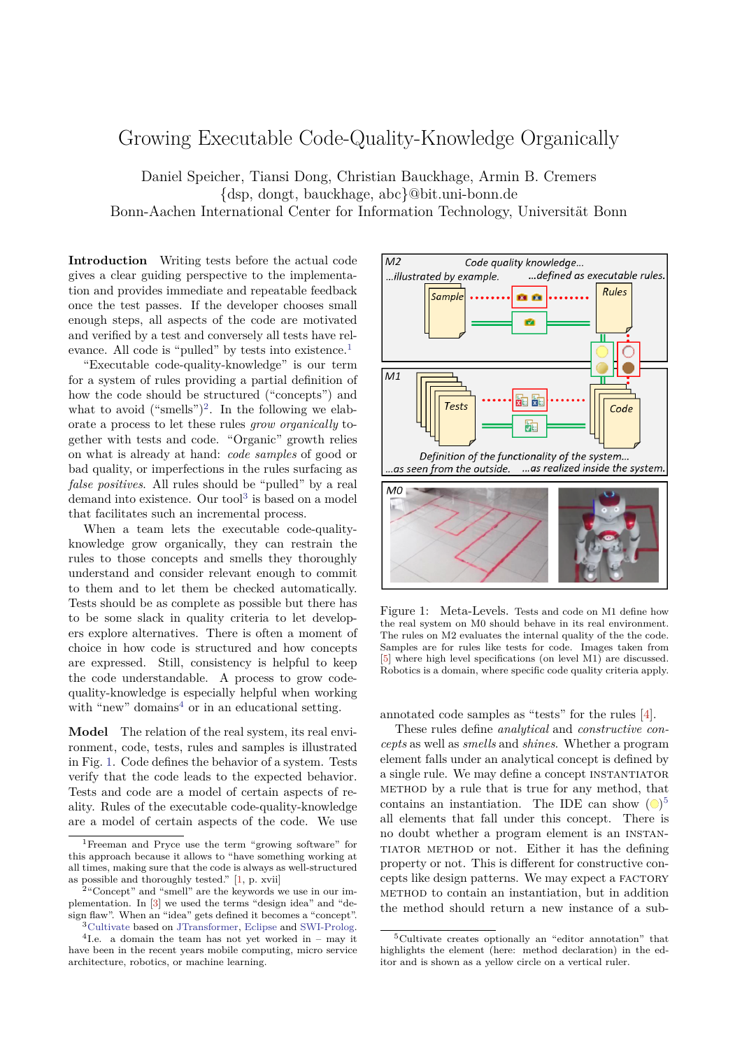## Growing Executable Code-Quality-Knowledge Organically

Daniel Speicher, Tiansi Dong, Christian Bauckhage, Armin B. Cremers {dsp, dongt, bauckhage, abc}@bit.uni-bonn.de Bonn-Aachen International Center for Information Technology, Universität Bonn

**Introduction** Writing tests before the actual code gives a clear guiding perspective to the implementation and provides immediate and repeatable feedback once the test passes. If the developer chooses small enough steps, all aspects of the code are motivated and verified by a test and conversely all tests have rel-evance. All code is "pulled" by tests into existence.<sup>[1](#page-0-0)</sup>

"Executable code-quality-knowledge" is our term for a system of rules providing a partial definition of how the code should be structured ("concepts") and what to avoid  $("smells")^2$  $("smells")^2$ . In the following we elaborate a process to let these rules *grow organically* together with tests and code. "Organic" growth relies on what is already at hand: *code samples* of good or bad quality, or imperfections in the rules surfacing as *false positives*. All rules should be "pulled" by a real demand into existence. Our tool<sup>[3](#page-0-2)</sup> is based on a model that facilitates such an incremental process.

When a team lets the executable code-qualityknowledge grow organically, they can restrain the rules to those concepts and smells they thoroughly understand and consider relevant enough to commit to them and to let them be checked automatically. Tests should be as complete as possible but there has to be some slack in quality criteria to let developers explore alternatives. There is often a moment of choice in how code is structured and how concepts are expressed. Still, consistency is helpful to keep the code understandable. A process to grow codequality-knowledge is especially helpful when working with "new" domains<sup>[4](#page-0-3)</sup> or in an educational setting.

**Model** The relation of the real system, its real environment, code, tests, rules and samples is illustrated in Fig. [1.](#page-0-4) Code defines the behavior of a system. Tests verify that the code leads to the expected behavior. Tests and code are a model of certain aspects of reality. Rules of the executable code-quality-knowledge are a model of certain aspects of the code. We use



<span id="page-0-4"></span>Figure 1: Meta-Levels. Tests and code on M1 define how the real system on M0 should behave in its real environment. The rules on M2 evaluates the internal quality of the the code. Samples are for rules like tests for code. Images taken from [\[5\]](#page-1-2) where high level specifications (on level M1) are discussed. Robotics is a domain, where specific code quality criteria apply.

annotated code samples as "tests" for the rules [\[4\]](#page-1-3).

These rules define *analytical* and *constructive concepts* as well as *smells* and *shines*. Whether a program element falls under an analytical concept is defined by a single rule. We may define a concept instantiator method by a rule that is true for any method, that contains an instantiation. The IDE can show  $\left(\bigcirc\right)^5$  $\left(\bigcirc\right)^5$ all elements that fall under this concept. There is no doubt whether a program element is an instantiator method or not. Either it has the defining property or not. This is different for constructive concepts like design patterns. We may expect a FACTORY method to contain an instantiation, but in addition the method should return a new instance of a sub-

<span id="page-0-0"></span><sup>1</sup>Freeman and Pryce use the term "growing software" for this approach because it allows to "have something working at all times, making sure that the code is always as well-structured as possible and thoroughly tested." [\[1,](#page-1-0) p. xvii]

<span id="page-0-1"></span><sup>&</sup>lt;sup>2</sup>"Concept" and "smell" are the keywords we use in our implementation. In [\[3\]](#page-1-1) we used the terms "design idea" and "design flaw". When an "idea" gets defined it becomes a "concept". <sup>3</sup>[Cultivate](https://sewiki.iai.uni-bonn.de/cultivate) based on [JTransformer,](https://sewiki.iai.uni-bonn.de/jtransformer) [Eclipse](https://www.eclipse.org/) and [SWI-Prolog.](http://www.swi-prolog.org/)

<span id="page-0-3"></span><span id="page-0-2"></span><sup>4</sup> I.e. a domain the team has not yet worked in – may it have been in the recent years mobile computing, micro service architecture, robotics, or machine learning.

<span id="page-0-5"></span><sup>5</sup>Cultivate creates optionally an "editor annotation" that highlights the element (here: method declaration) in the editor and is shown as a yellow circle on a vertical ruler.